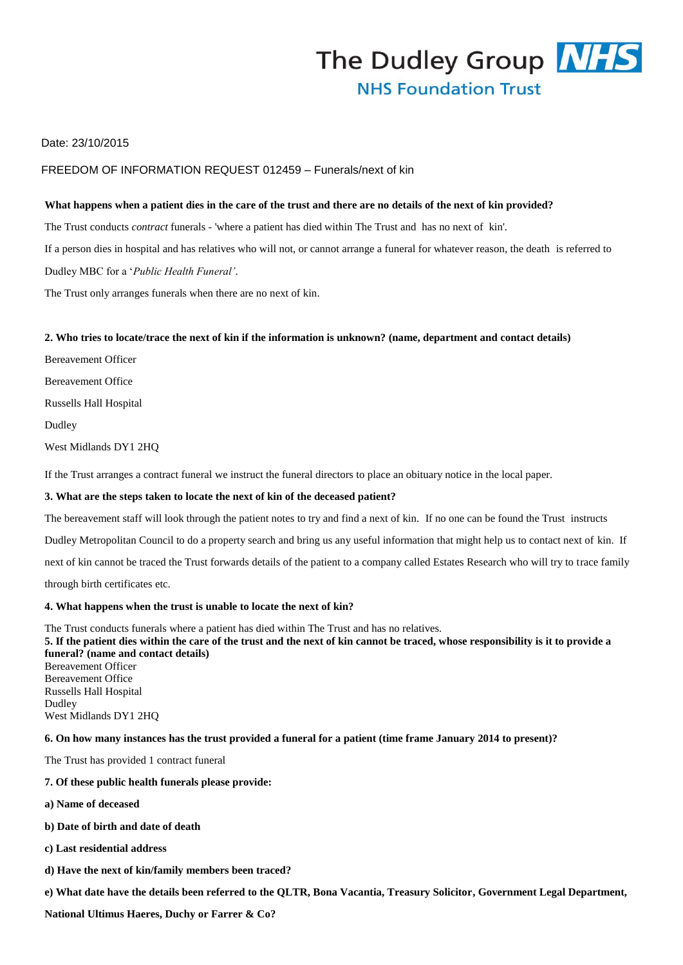

# Date: 23/10/2015

### FREEDOM OF INFORMATION REQUEST 012459 – Funerals/next of kin

#### **What happens when a patient dies in the care of the trust and there are no details of the next of kin provided?**

The Trust conducts *contract* funerals - 'where a patient has died within The Trust and has no next of kin'. If a person dies in hospital and has relatives who will not, or cannot arrange a funeral for whatever reason, the death is referred to

Dudley MBC for a '*Public Health Funeral'*.

The Trust only arranges funerals when there are no next of kin.

#### **2. Who tries to locate/trace the next of kin if the information is unknown? (name, department and contact details)**

Bereavement Officer

Bereavement Office

Russells Hall Hospital

Dudley

West Midlands DY1 2HQ

If the Trust arranges a contract funeral we instruct the funeral directors to place an obituary notice in the local paper.

#### **3. What are the steps taken to locate the next of kin of the deceased patient?**

The bereavement staff will look through the patient notes to try and find a next of kin. If no one can be found the Trust instructs

Dudley Metropolitan Council to do a property search and bring us any useful information that might help us to contact next of kin. If

next of kin cannot be traced the Trust forwards details of the patient to a company called Estates Research who will try to trace family

through birth certificates etc.

#### **4. What happens when the trust is unable to locate the next of kin?**

The Trust conducts funerals where a patient has died within The Trust and has no relatives. **5. If the patient dies within the care of the trust and the next of kin cannot be traced, whose responsibility is it to provide a funeral? (name and contact details)** Bereavement Officer Bereavement Office Russells Hall Hospital Dudley West Midlands DY1 2HQ

#### **6. On how many instances has the trust provided a funeral for a patient (time frame January 2014 to present)?**

The Trust has provided 1 contract funeral

- **7. Of these public health funerals please provide:**
- **a) Name of deceased**
- **b) Date of birth and date of death**
- **c) Last residential address**
- **d) Have the next of kin/family members been traced?**
- **e) What date have the details been referred to the QLTR, Bona Vacantia, Treasury Solicitor, Government Legal Department,**

**National Ultimus Haeres, Duchy or Farrer & Co?**